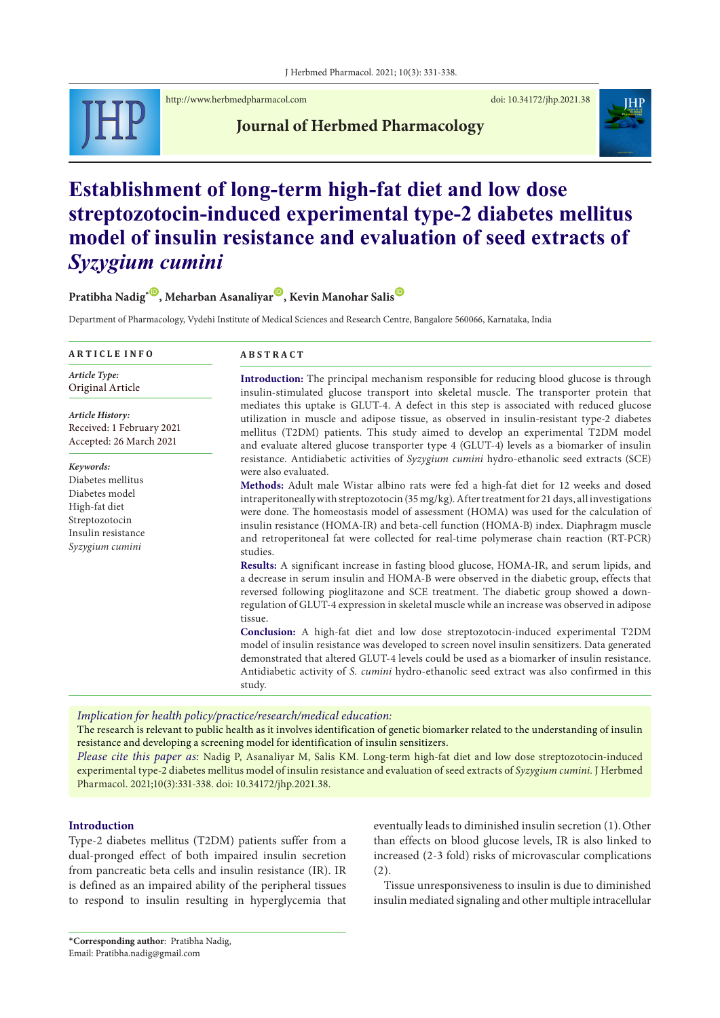

<http://www.herbmedpharmacol.com> doi: [10.34172/jhp.2021.38](http://doi.org/10.34172/jhp.2021.38)

**Journal of Herbmed Pharmacology**



# **Establishment of long-term high-fat diet and low dose streptozotocin-induced experimental type-2 diabetes mellitus model of insulin resistance and evaluation of seed extracts of**  *Syzygium cumini*

**Pratibha Nadig**<sup>\*</sup>, Meharban Asanaliyar<sup>®</sup>, Kevin Manohar Salis<sup>®</sup>

Department of Pharmacology, Vydehi Institute of Medical Sciences and Research Centre, Bangalore 560066, Karnataka, India

| <b>ARTICLE INFO</b>                                                                                                          | <b>ABSTRACT</b>                                                                                                                                                                                                                                                                                                                                                                                                                                                                                                                                                                                                                                                                                                                                                                                                                                                                                                                                                                                                                                                                                                                                                                                                                                                                                                                                                                                              |  |  |
|------------------------------------------------------------------------------------------------------------------------------|--------------------------------------------------------------------------------------------------------------------------------------------------------------------------------------------------------------------------------------------------------------------------------------------------------------------------------------------------------------------------------------------------------------------------------------------------------------------------------------------------------------------------------------------------------------------------------------------------------------------------------------------------------------------------------------------------------------------------------------------------------------------------------------------------------------------------------------------------------------------------------------------------------------------------------------------------------------------------------------------------------------------------------------------------------------------------------------------------------------------------------------------------------------------------------------------------------------------------------------------------------------------------------------------------------------------------------------------------------------------------------------------------------------|--|--|
| Article Type:<br>Original Article                                                                                            | <b>Introduction:</b> The principal mechanism responsible for reducing blood glucose is through<br>insulin-stimulated glucose transport into skeletal muscle. The transporter protein that<br>mediates this uptake is GLUT-4. A defect in this step is associated with reduced glucose<br>utilization in muscle and adipose tissue, as observed in insulin-resistant type-2 diabetes<br>mellitus (T2DM) patients. This study aimed to develop an experimental T2DM model<br>and evaluate altered glucose transporter type 4 (GLUT-4) levels as a biomarker of insulin                                                                                                                                                                                                                                                                                                                                                                                                                                                                                                                                                                                                                                                                                                                                                                                                                                         |  |  |
| Article History:<br>Received: 1 February 2021<br>Accepted: 26 March 2021                                                     |                                                                                                                                                                                                                                                                                                                                                                                                                                                                                                                                                                                                                                                                                                                                                                                                                                                                                                                                                                                                                                                                                                                                                                                                                                                                                                                                                                                                              |  |  |
| Keywords:<br>Diabetes mellitus<br>Diabetes model<br>High-fat diet<br>Streptozotocin<br>Insulin resistance<br>Syzygium cumini | resistance. Antidiabetic activities of Syzygium cumini hydro-ethanolic seed extracts (SCE)<br>were also evaluated.<br>Methods: Adult male Wistar albino rats were fed a high-fat diet for 12 weeks and dosed<br>intraperitoneally with streptozotocin $(35 \text{ mg/kg})$ . After treatment for 21 days, all investigations<br>were done. The homeostasis model of assessment (HOMA) was used for the calculation of<br>insulin resistance (HOMA-IR) and beta-cell function (HOMA-B) index. Diaphragm muscle<br>and retroperitoneal fat were collected for real-time polymerase chain reaction (RT-PCR)<br>studies.<br>Results: A significant increase in fasting blood glucose, HOMA-IR, and serum lipids, and<br>a decrease in serum insulin and HOMA-B were observed in the diabetic group, effects that<br>reversed following pioglitazone and SCE treatment. The diabetic group showed a down-<br>regulation of GLUT-4 expression in skeletal muscle while an increase was observed in adipose<br>tissue.<br>Conclusion: A high-fat diet and low dose streptozotocin-induced experimental T2DM<br>model of insulin resistance was developed to screen novel insulin sensitizers. Data generated<br>demonstrated that altered GLUT-4 levels could be used as a biomarker of insulin resistance.<br>Antidiabetic activity of S. cumini hydro-ethanolic seed extract was also confirmed in this<br>study. |  |  |

*Implication for health policy/practice/research/medical education:*

The research is relevant to public health as it involves identification of genetic biomarker related to the understanding of insulin resistance and developing a screening model for identification of insulin sensitizers.

*Please cite this paper as:* Nadig P, Asanaliyar M, Salis KM. Long-term high-fat diet and low dose streptozotocin-induced experimental type-2 diabetes mellitus model of insulin resistance and evaluation of seed extracts of *Syzygium cumini.* J Herbmed Pharmacol. 2021;10(3):331-338. doi: 10.34172/jhp.2021.38.

# **Introduction**

Type-2 diabetes mellitus (T2DM) patients suffer from a dual-pronged effect of both impaired insulin secretion from pancreatic beta cells and insulin resistance (IR). IR is defined as an impaired ability of the peripheral tissues to respond to insulin resulting in hyperglycemia that eventually leads to diminished insulin secretion (1).Other than effects on blood glucose levels, IR is also linked to increased (2-3 fold) risks of microvascular complications (2).

Tissue unresponsiveness to insulin is due to diminished insulin mediated signaling and other multiple intracellular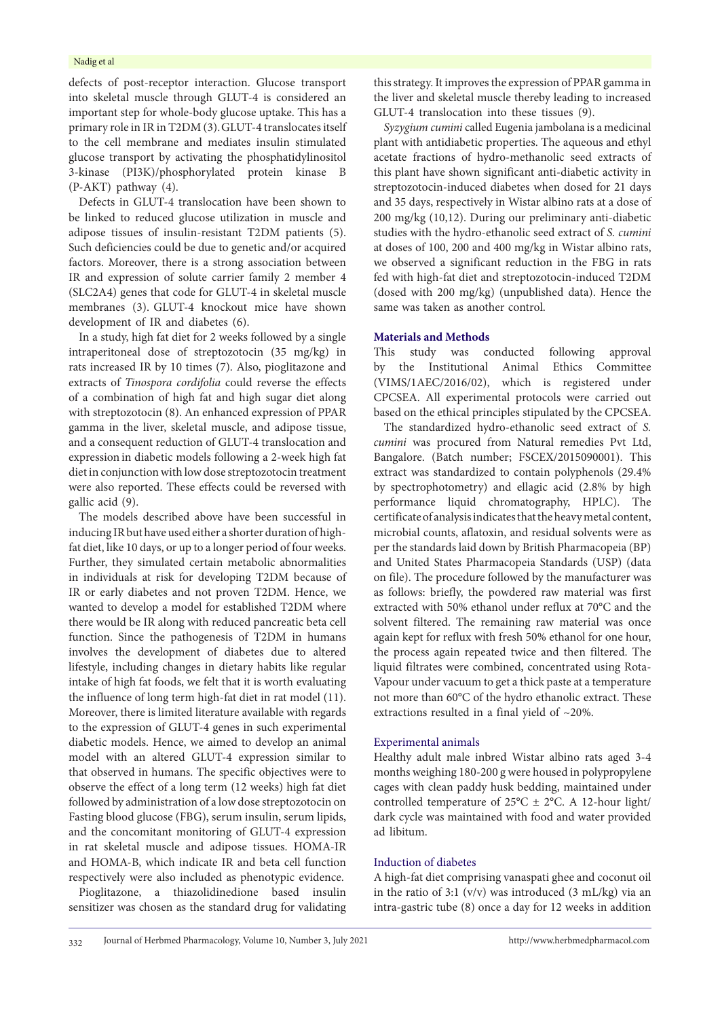### Nadig et al

defects of post-receptor interaction. Glucose transport into skeletal muscle through GLUT-4 is considered an important step for whole-body glucose uptake. This has a primary role in IR in T2DM (3).GLUT-4 translocates itself to the cell membrane and mediates insulin stimulated glucose transport by activating the phosphatidylinositol 3-kinase (PI3K)/phosphorylated protein kinase B (P-AKT) pathway (4).

Defects in GLUT-4 translocation have been shown to be linked to reduced glucose utilization in muscle and adipose tissues of insulin-resistant T2DM patients (5). Such deficiencies could be due to genetic and/or acquired factors. Moreover, there is a strong association between IR and expression of solute carrier family 2 member 4 (SLC2A4) genes that code for GLUT-4 in skeletal muscle membranes (3). GLUT-4 knockout mice have shown development of IR and diabetes (6).

In a study, high fat diet for 2 weeks followed by a single intraperitoneal dose of streptozotocin (35 mg/kg) in rats increased IR by 10 times (7). Also, pioglitazone and extracts of *Tinospora cordifolia* could reverse the effects of a combination of high fat and high sugar diet along with streptozotocin (8). An enhanced expression of PPAR gamma in the liver, skeletal muscle, and adipose tissue, and a consequent reduction of GLUT-4 translocation and expression in diabetic models following a 2-week high fat diet in conjunction with low dose streptozotocin treatment were also reported. These effects could be reversed with gallic acid (9).

The models described above have been successful in inducing IR but have used either a shorter duration of highfat diet, like 10 days, or up to a longer period of four weeks. Further, they simulated certain metabolic abnormalities in individuals at risk for developing T2DM because of IR or early diabetes and not proven T2DM. Hence, we wanted to develop a model for established T2DM where there would be IR along with reduced pancreatic beta cell function. Since the pathogenesis of T2DM in humans involves the development of diabetes due to altered lifestyle, including changes in dietary habits like regular intake of high fat foods, we felt that it is worth evaluating the influence of long term high-fat diet in rat model (11). Moreover, there is limited literature available with regards to the expression of GLUT-4 genes in such experimental diabetic models. Hence, we aimed to develop an animal model with an altered GLUT-4 expression similar to that observed in humans. The specific objectives were to observe the effect of a long term (12 weeks) high fat diet followed by administration of a low dose streptozotocin on Fasting blood glucose (FBG), serum insulin, serum lipids, and the concomitant monitoring of GLUT-4 expression in rat skeletal muscle and adipose tissues. HOMA-IR and HOMA-B, which indicate IR and beta cell function respectively were also included as phenotypic evidence.

Pioglitazone, a thiazolidinedione based insulin sensitizer was chosen as the standard drug for validating this strategy. It improves the expression of PPAR gamma in the liver and skeletal muscle thereby leading to increased GLUT-4 translocation into these tissues (9).

*Syzygium cumini* called Eugenia jambolana is a medicinal plant with antidiabetic properties. The aqueous and ethyl acetate fractions of hydro-methanolic seed extracts of this plant have shown significant anti-diabetic activity in streptozotocin-induced diabetes when dosed for 21 days and 35 days, respectively in Wistar albino rats at a dose of 200 mg/kg (10,12). During our preliminary anti-diabetic studies with the hydro-ethanolic seed extract of *S. cumini* at doses of 100, 200 and 400 mg/kg in Wistar albino rats, we observed a significant reduction in the FBG in rats fed with high-fat diet and streptozotocin-induced T2DM (dosed with 200 mg/kg) (unpublished data). Hence the same was taken as another control.

### **Materials and Methods**

This study was conducted following approval by the Institutional Animal Ethics Committee (VIMS/1AEC/2016/02), which is registered under CPCSEA. All experimental protocols were carried out based on the ethical principles stipulated by the CPCSEA.

The standardized hydro-ethanolic seed extract of *S. cumini* was procured from Natural remedies Pvt Ltd, Bangalore. (Batch number; FSCEX/2015090001). This extract was standardized to contain polyphenols (29.4% by spectrophotometry) and ellagic acid (2.8% by high performance liquid chromatography, HPLC). The certificate of analysis indicates that the heavy metal content, microbial counts, aflatoxin, and residual solvents were as per the standards laid down by British Pharmacopeia (BP) and United States Pharmacopeia Standards (USP) (data on file). The procedure followed by the manufacturer was as follows: briefly, the powdered raw material was first extracted with 50% ethanol under reflux at 70°C and the solvent filtered. The remaining raw material was once again kept for reflux with fresh 50% ethanol for one hour, the process again repeated twice and then filtered. The liquid filtrates were combined, concentrated using Rota-Vapour under vacuum to get a thick paste at a temperature not more than 60°C of the hydro ethanolic extract. These extractions resulted in a final yield of ~20%.

### Experimental animals

Healthy adult male inbred Wistar albino rats aged 3-4 months weighing 180-200 g were housed in polypropylene cages with clean paddy husk bedding, maintained under controlled temperature of  $25^{\circ}$ C  $\pm$  2°C. A 12-hour light/ dark cycle was maintained with food and water provided ad libitum.

### Induction of diabetes

A high-fat diet comprising vanaspati ghee and coconut oil in the ratio of 3:1 (v/v) was introduced (3 mL/kg) via an intra-gastric tube (8) once a day for 12 weeks in addition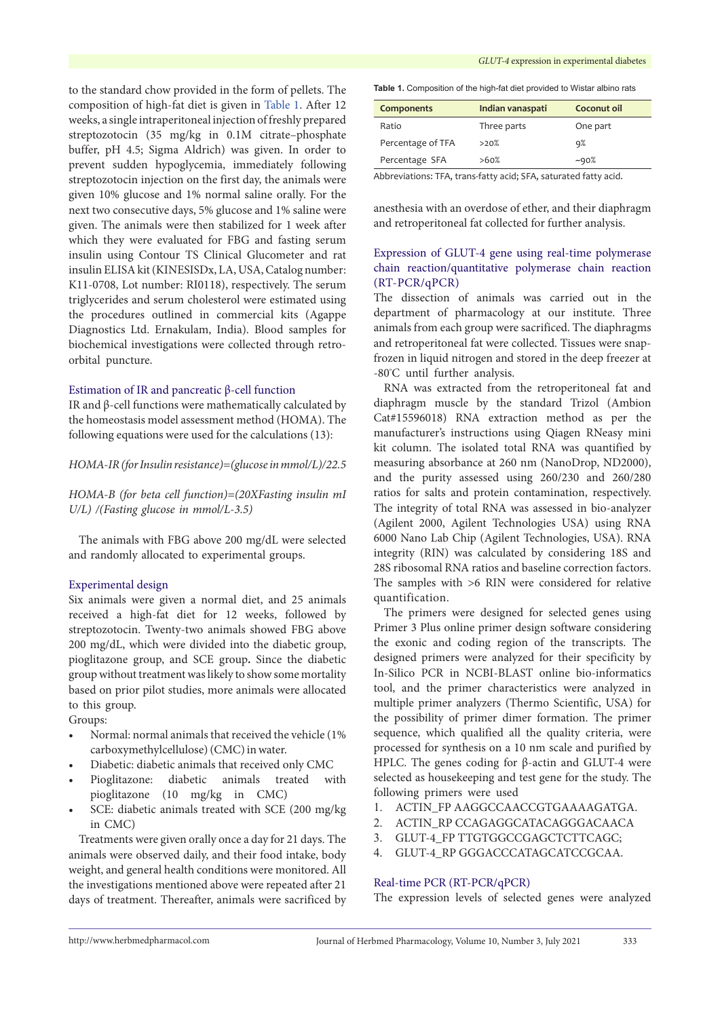to the standard chow provided in the form of pellets. The composition of high-fat diet is given in [Table](#page-2-0) 1. After 12 weeks, a single intraperitoneal injection of freshly prepared streptozotocin (35 mg/kg in 0.1M citrate–phosphate buffer, pH 4.5; Sigma Aldrich) was given. In order to prevent sudden hypoglycemia, immediately following streptozotocin injection on the first day, the animals were given 10% glucose and 1% normal saline orally. For the next two consecutive days, 5% glucose and 1% saline were given. The animals were then stabilized for 1 week after which they were evaluated for FBG and fasting serum insulin using Contour TS Clinical Glucometer and rat insulin ELISA kit (KINESISDx, LA, USA, Catalog number: K11-0708, Lot number: RI0118), respectively. The serum triglycerides and serum cholesterol were estimated using the procedures outlined in commercial kits (Agappe Diagnostics Ltd. Ernakulam, India). Blood samples for biochemical investigations were collected through retroorbital puncture.

### Estimation of IR and pancreatic β-cell function

IR and β-cell functions were mathematically calculated by the homeostasis model assessment method (HOMA). The following equations were used for the calculations (13):

### *HOMA-IR (for Insulin resistance)=(glucose in mmol/L)/22.5*

*HOMA-B (for beta cell function)=(20XFasting insulin mI U/L) /(Fasting glucose in mmol/L-3.5)*

The animals with FBG above 200 mg/dL were selected and randomly allocated to experimental groups.

#### Experimental design

Six animals were given a normal diet, and 25 animals received a high-fat diet for 12 weeks, followed by streptozotocin. Twenty-two animals showed FBG above 200 mg/dL, which were divided into the diabetic group, pioglitazone group, and SCE group**.** Since the diabetic group without treatment was likely to show some mortality based on prior pilot studies, more animals were allocated to this group.

Groups:

- Normal: normal animals that received the vehicle (1% carboxymethylcellulose) (CMC) in water.
- Diabetic: diabetic animals that received only CMC
- Pioglitazone: diabetic animals treated with pioglitazone (10 mg/kg in CMC)
- SCE: diabetic animals treated with SCE (200 mg/kg in CMC)

Treatments were given orally once a day for 21 days. The animals were observed daily, and their food intake, body weight, and general health conditions were monitored. All the investigations mentioned above were repeated after 21 days of treatment. Thereafter, animals were sacrificed by

#### *GLUT-4* expression in experimental diabetes

<span id="page-2-0"></span>

|  | Table 1. Composition of the high-fat diet provided to Wistar albino rats |  |  |  |  |
|--|--------------------------------------------------------------------------|--|--|--|--|
|--|--------------------------------------------------------------------------|--|--|--|--|

| Components        | Indian vanaspati | Coconut oil |
|-------------------|------------------|-------------|
| Ratio             | Three parts      | One part    |
| Percentage of TFA | >20%             | 9%          |
| Percentage SFA    | >60%             | $-90%$      |

Abbreviations: TFA, trans-fatty acid; SFA, saturated fatty acid.

anesthesia with an overdose of ether, and their diaphragm and retroperitoneal fat collected for further analysis.

# Expression of GLUT-4 gene using real-time polymerase chain reaction/quantitative polymerase chain reaction (RT-PCR/qPCR)

The dissection of animals was carried out in the department of pharmacology at our institute. Three animals from each group were sacrificed. The diaphragms and retroperitoneal fat were collected. Tissues were snapfrozen in liquid nitrogen and stored in the deep freezer at -80º C until further analysis.

RNA was extracted from the retroperitoneal fat and diaphragm muscle by the standard Trizol (Ambion Cat#15596018) RNA extraction method as per the manufacturer's instructions using Qiagen RNeasy mini kit column. The isolated total RNA was quantified by measuring absorbance at 260 nm (NanoDrop, ND2000), and the purity assessed using 260/230 and 260/280 ratios for salts and protein contamination, respectively. The integrity of total RNA was assessed in bio-analyzer (Agilent 2000, Agilent Technologies USA) using RNA 6000 Nano Lab Chip (Agilent Technologies, USA). RNA integrity (RIN) was calculated by considering 18S and 28S ribosomal RNA ratios and baseline correction factors. The samples with >6 RIN were considered for relative quantification.

The primers were designed for selected genes using Primer 3 Plus online primer design software considering the exonic and coding region of the transcripts. The designed primers were analyzed for their specificity by In-Silico PCR in NCBI-BLAST online bio-informatics tool, and the primer characteristics were analyzed in multiple primer analyzers (Thermo Scientific, USA) for the possibility of primer dimer formation. The primer sequence, which qualified all the quality criteria, were processed for synthesis on a 10 nm scale and purified by HPLC. The genes coding for β-actin and GLUT-4 were selected as housekeeping and test gene for the study. The following primers were used

- 1. ACTIN\_FP AAGGCCAACCGTGAAAAGATGA.
- 2. ACTIN\_RP CCAGAGGCATACAGGGACAACA
- 3. GLUT-4\_FP TTGTGGCCGAGCTCTTCAGC;
- 4. GLUT-4\_RP GGGACCCATAGCATCCGCAA.

### Real-time PCR (RT-PCR/qPCR)

The expression levels of selected genes were analyzed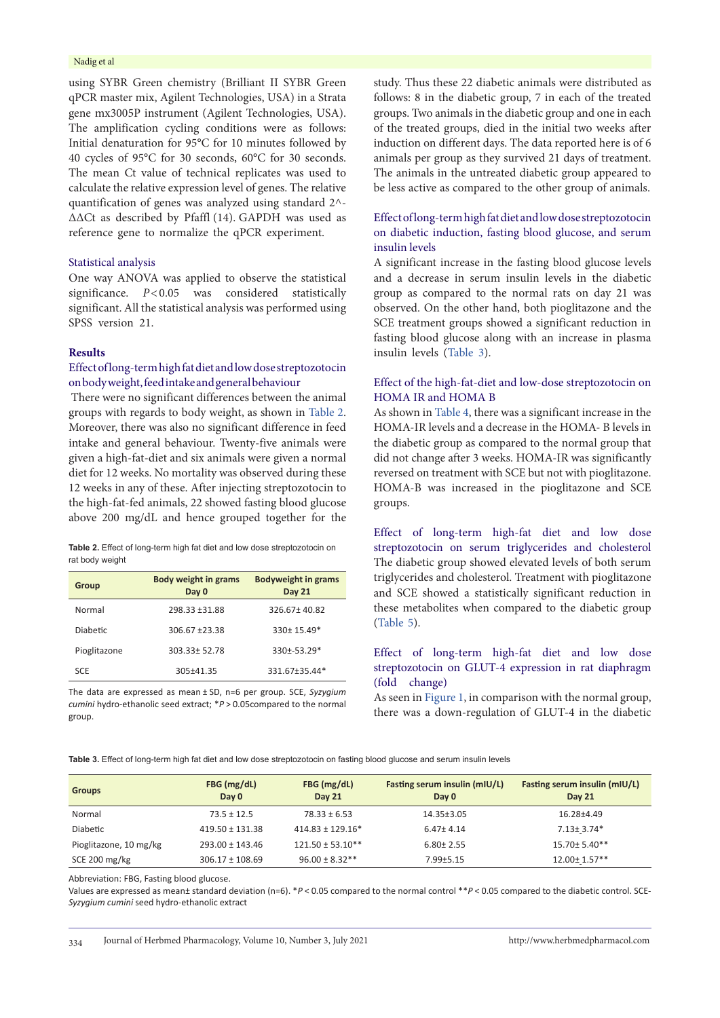### Nadig et al

using SYBR Green chemistry (Brilliant II SYBR Green qPCR master mix, Agilent Technologies, USA) in a Strata gene mx3005P instrument (Agilent Technologies, USA). The amplification cycling conditions were as follows: Initial denaturation for 95°C for 10 minutes followed by 40 cycles of 95°C for 30 seconds, 60°C for 30 seconds. The mean Ct value of technical replicates was used to calculate the relative expression level of genes. The relative quantification of genes was analyzed using standard 2^- ∆∆Ct as described by Pfaffl (14). GAPDH was used as reference gene to normalize the qPCR experiment.

### Statistical analysis

One way ANOVA was applied to observe the statistical significance. *P*<0.05 was considered statistically significant. All the statistical analysis was performed using SPSS version 21.

### **Results**

# Effect of long-term high fat diet and low dose streptozotocin on body weight, feed intake and general behaviour

 There were no significant differences between the animal groups with regards to body weight, as shown in [Table](#page-3-0) 2. Moreover, there was also no significant difference in feed intake and general behaviour. Twenty-five animals were given a high-fat-diet and six animals were given a normal diet for 12 weeks. No mortality was observed during these 12 weeks in any of these. After injecting streptozotocin to the high-fat-fed animals, 22 showed fasting blood glucose above 200 mg/dL and hence grouped together for the

<span id="page-3-0"></span>**Table 2.** Effect of long-term high fat diet and low dose streptozotocin on rat body weight

| Group           | <b>Body weight in grams</b><br>Day 0 | <b>Bodyweight in grams</b><br>Day 21 |
|-----------------|--------------------------------------|--------------------------------------|
| Normal          | 298.33 ±31.88                        | 326.67±40.82                         |
| <b>Diabetic</b> | 306.67 ±23.38                        | 330± 15.49*                          |
| Pioglitazone    | 303.33± 52.78                        | 330±-53.29*                          |
| SCE             | 305±41.35                            | 331.67±35.44*                        |

The data are expressed as mean ± SD, n=6 per group. SCE, *Syzygium cumini* hydro-ethanolic seed extract; \**P*> 0.05compared to the normal group.

study. Thus these 22 diabetic animals were distributed as follows: 8 in the diabetic group, 7 in each of the treated groups. Two animals in the diabetic group and one in each of the treated groups, died in the initial two weeks after induction on different days. The data reported here is of 6 animals per group as they survived 21 days of treatment. The animals in the untreated diabetic group appeared to be less active as compared to the other group of animals.

# Effect of long-term high fat diet and low dose streptozotocin on diabetic induction, fasting blood glucose, and serum insulin levels

A significant increase in the fasting blood glucose levels and a decrease in serum insulin levels in the diabetic group as compared to the normal rats on day 21 was observed. On the other hand, both pioglitazone and the SCE treatment groups showed a significant reduction in fasting blood glucose along with an increase in plasma insulin levels [\(Table](#page-3-1) 3).

# Effect of the high-fat-diet and low-dose streptozotocin on HOMA IR and HOMA B

As shown in [Table](#page-4-0) 4, there was a significant increase in the HOMA-IR levels and a decrease in the HOMA- B levels in the diabetic group as compared to the normal group that did not change after 3 weeks. HOMA-IR was significantly reversed on treatment with SCE but not with pioglitazone. HOMA-B was increased in the pioglitazone and SCE groups.

Effect of long-term high-fat diet and low dose streptozotocin on serum triglycerides and cholesterol The diabetic group showed elevated levels of both serum triglycerides and cholesterol. Treatment with pioglitazone and SCE showed a statistically significant reduction in these metabolites when compared to the diabetic group [\(Table](#page-4-1) 5).

# Effect of long-term high-fat diet and low dose streptozotocin on GLUT-4 expression in rat diaphragm (fold change)

As seen in [Figure](#page-4-2) 1, in comparison with the normal group, there was a down-regulation of GLUT-4 in the diabetic

<span id="page-3-1"></span>**Table 3.** Effect of long-term high fat diet and low dose streptozotocin on fasting blood glucose and serum insulin levels

| <b>Groups</b>          | FBG (mg/dL)<br>Day 0 | $FBG$ (mg/dL)<br><b>Day 21</b> | Fasting serum insulin (mIU/L)<br>Day 0 | Fasting serum insulin (mIU/L)<br><b>Day 21</b> |
|------------------------|----------------------|--------------------------------|----------------------------------------|------------------------------------------------|
| Normal                 | $73.5 \pm 12.5$      | $78.33 \pm 6.53$               | 14.35±3.05                             | 16.28±4.49                                     |
| Diabetic               | $419.50 \pm 131.38$  | $414.83 \pm 129.16*$           | $6.47 \pm 4.14$                        | $7.13 \pm 3.74*$                               |
| Pioglitazone, 10 mg/kg | $293.00 \pm 143.46$  | $121.50 \pm 53.10**$           | $6.80 \pm 2.55$                        | $15.70 \pm 5.40$ **                            |
| SCE 200 mg/kg          | $306.17 \pm 108.69$  | $96.00 \pm 8.32**$             | $7.99 + 5.15$                          | 12.00± 1.57**                                  |

Abbreviation: FBG, Fasting blood glucose.

Values are expressed as mean± standard deviation (n=6). \**P* < 0.05 compared to the normal control \*\**P* < 0.05 compared to the diabetic control. SCE-*Syzygium cumini* seed hydro-ethanolic extract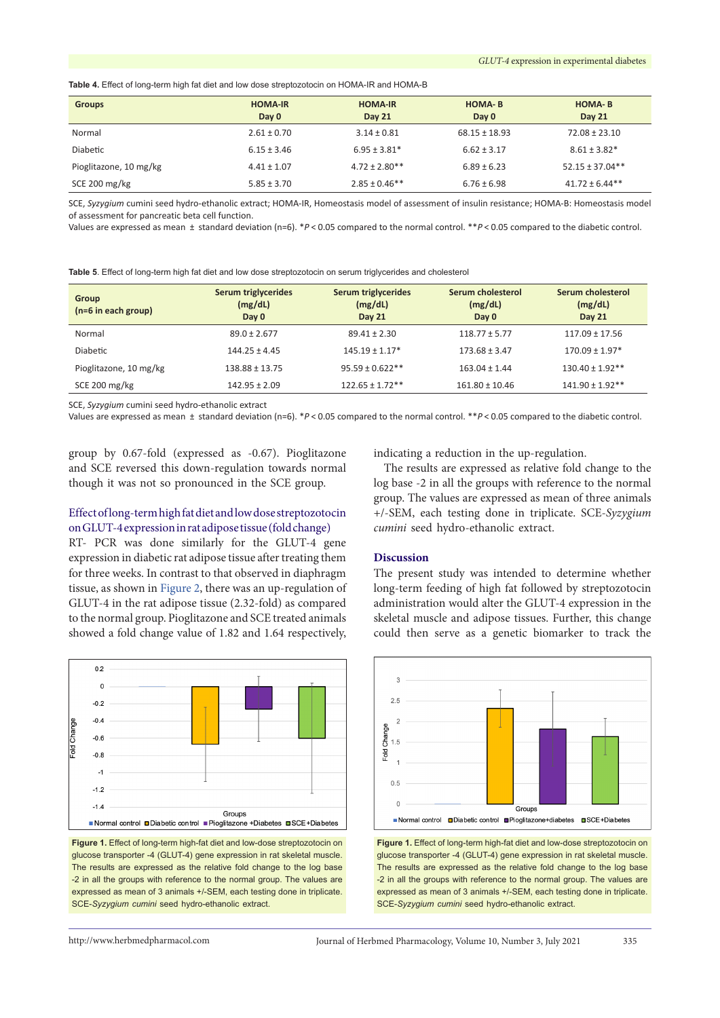<span id="page-4-0"></span>**Table 4.** Effect of long-term high fat diet and low dose streptozotocin on HOMA-IR and HOMA-B

| <b>Groups</b>          | <b>HOMA-IR</b><br>Day 0 | <b>HOMA-IR</b><br><b>Day 21</b> | <b>HOMA-B</b><br>Day 0 | <b>HOMA-B</b><br><b>Day 21</b> |
|------------------------|-------------------------|---------------------------------|------------------------|--------------------------------|
| Normal                 | $2.61 \pm 0.70$         | $3.14 \pm 0.81$                 | $68.15 \pm 18.93$      | $72.08 \pm 23.10$              |
| Diabetic               | $6.15 \pm 3.46$         | $6.95 \pm 3.81*$                | $6.62 \pm 3.17$        | $8.61 \pm 3.82*$               |
| Pioglitazone, 10 mg/kg | $4.41 \pm 1.07$         | $4.72 \pm 2.80**$               | $6.89 \pm 6.23$        | $52.15 \pm 37.04**$            |
| SCE 200 mg/kg          | $5.85 \pm 3.70$         | $2.85 \pm 0.46$ **              | $6.76 \pm 6.98$        | $41.72 \pm 6.44**$             |

SCE, *Syzygium* cumini seed hydro-ethanolic extract; HOMA-IR, Homeostasis model of assessment of insulin resistance; HOMA-B: Homeostasis model of assessment for pancreatic beta cell function.

Values are expressed as mean  ±  standard deviation (n=6). \**P*< 0.05 compared to the normal control. \*\**P*< 0.05 compared to the diabetic control.

<span id="page-4-1"></span>**Table 5**. Effect of long-term high fat diet and low dose streptozotocin on serum triglycerides and cholesterol

| <b>Group</b><br>$(n=6$ in each group) | Serum triglycerides<br>(mg/dL)<br>Day 0 | Serum triglycerides<br>(mg/dL)<br><b>Day 21</b> | Serum cholesterol<br>(mg/dL)<br>Day 0 | Serum cholesterol<br>(mg/dL)<br><b>Day 21</b> |
|---------------------------------------|-----------------------------------------|-------------------------------------------------|---------------------------------------|-----------------------------------------------|
| Normal                                | $89.0 \pm 2.677$                        | $89.41 \pm 2.30$                                | $118.77 \pm 5.77$                     | $117.09 \pm 17.56$                            |
| <b>Diabetic</b>                       | $144.25 \pm 4.45$                       | $145.19 \pm 1.17*$                              | $173.68 \pm 3.47$                     | $170.09 \pm 1.97$ <sup>*</sup>                |
| Pioglitazone, 10 mg/kg                | $138.88 \pm 13.75$                      | $95.59 \pm 0.622**$                             | $163.04 \pm 1.44$                     | $130.40 \pm 1.92**$                           |
| SCE 200 mg/kg                         | $142.95 \pm 2.09$                       | $122.65 \pm 1.72$ **                            | $161.80 \pm 10.46$                    | $141.90 \pm 1.92$ **                          |

SCE, *Syzygium* cumini seed hydro-ethanolic extract

Values are expressed as mean  ±  standard deviation (n=6). \**P*< 0.05 compared to the normal control. \*\**P*< 0.05 compared to the diabetic control.

group by 0.67-fold (expressed as -0.67). Pioglitazone and SCE reversed this down-regulation towards normal though it was not so pronounced in the SCE group.

### Effect of long-term high fat diet and low dose streptozotocin on GLUT-4 expression in rat adipose tissue (fold change)

RT- PCR was done similarly for the GLUT-4 gene expression in diabetic rat adipose tissue after treating them for three weeks. In contrast to that observed in diaphragm tissue, as shown in [Figure](#page-4-3) 2, there was an up-regulation of GLUT-4 in the rat adipose tissue (2.32-fold) as compared to the normal group. Pioglitazone and SCE treated animals showed a fold change value of 1.82 and 1.64 respectively,

<span id="page-4-2"></span>

**Figure 1.** Effect of long-term high-fat diet and low-dose streptozotocin on glucose transporter -4 (GLUT-4) gene expression in rat skeletal muscle. The results are expressed as the relative fold change to the log base -2 in all the groups with reference to the normal group. The values are expressed as mean of 3 animals +/-SEM, each testing done in triplicate. SCE-*Syzygium cumini* seed hydro-ethanolic extract.

indicating a reduction in the up-regulation.

The results are expressed as relative fold change to the log base -2 in all the groups with reference to the normal group. The values are expressed as mean of three animals +/-SEM, each testing done in triplicate. SCE-*Syzygium cumini* seed hydro-ethanolic extract.

### **Discussion**

The present study was intended to determine whether long-term feeding of high fat followed by streptozotocin administration would alter the GLUT-4 expression in the skeletal muscle and adipose tissues. Further, this change could then serve as a genetic biomarker to track the

<span id="page-4-3"></span>

**Figure 1.** Effect of long-term high-fat diet and low-dose streptozotocin on glucose transporter -4 (GLUT-4) gene expression in rat skeletal muscle. The results are expressed as the relative fold change to the log base -2 in all the groups with reference to the normal group. The values are expressed as mean of 3 animals +/-SEM, each testing done in triplicate. SCE-*Syzygium cumini* seed hydro-ethanolic extract.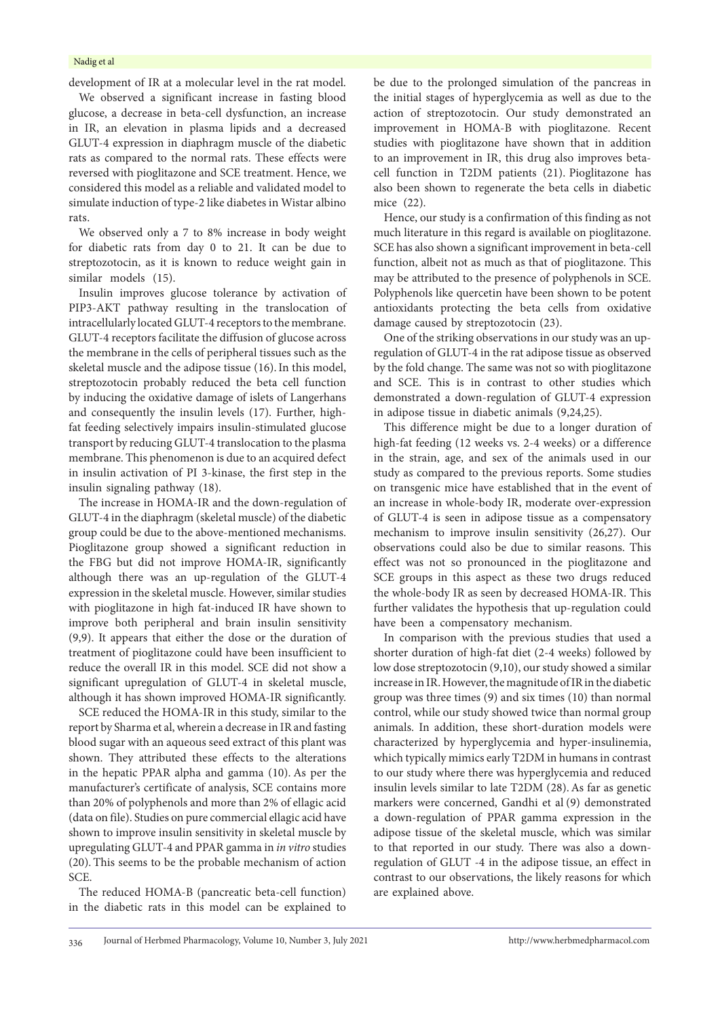#### Nadig et al

development of IR at a molecular level in the rat model. We observed a significant increase in fasting blood glucose, a decrease in beta-cell dysfunction, an increase in IR, an elevation in plasma lipids and a decreased GLUT-4 expression in diaphragm muscle of the diabetic rats as compared to the normal rats. These effects were reversed with pioglitazone and SCE treatment. Hence, we considered this model as a reliable and validated model to simulate induction of type-2 like diabetes in Wistar albino rats.

We observed only a 7 to 8% increase in body weight for diabetic rats from day 0 to 21. It can be due to streptozotocin, as it is known to reduce weight gain in similar models (15).

Insulin improves glucose tolerance by activation of PIP3-AKT pathway resulting in the translocation of intracellularly located GLUT-4 receptors to the membrane. GLUT-4 receptors facilitate the diffusion of glucose across the membrane in the cells of peripheral tissues such as the skeletal muscle and the adipose tissue (16). In this model, streptozotocin probably reduced the beta cell function by inducing the oxidative damage of islets of Langerhans and consequently the insulin levels (17). Further, highfat feeding selectively impairs insulin-stimulated glucose transport by reducing GLUT-4 translocation to the plasma membrane. This phenomenon is due to an acquired defect in insulin activation of PI 3-kinase, the first step in the insulin signaling pathway (18).

The increase in HOMA-IR and the down-regulation of GLUT-4 in the diaphragm (skeletal muscle) of the diabetic group could be due to the above-mentioned mechanisms. Pioglitazone group showed a significant reduction in the FBG but did not improve HOMA-IR, significantly although there was an up-regulation of the GLUT-4 expression in the skeletal muscle. However, similar studies with pioglitazone in high fat-induced IR have shown to improve both peripheral and brain insulin sensitivity (9,9). It appears that either the dose or the duration of treatment of pioglitazone could have been insufficient to reduce the overall IR in this model. SCE did not show a significant upregulation of GLUT-4 in skeletal muscle, although it has shown improved HOMA-IR significantly.

SCE reduced the HOMA-IR in this study, similar to the report by Sharma et al, wherein a decrease in IR and fasting blood sugar with an aqueous seed extract of this plant was shown. They attributed these effects to the alterations in the hepatic PPAR alpha and gamma (10). As per the manufacturer's certificate of analysis, SCE contains more than 20% of polyphenols and more than 2% of ellagic acid (data on file). Studies on pure commercial ellagic acid have shown to improve insulin sensitivity in skeletal muscle by upregulating GLUT-4 and PPAR gamma in *in vitro* studies (20). This seems to be the probable mechanism of action SCE.

The reduced HOMA-B (pancreatic beta-cell function) in the diabetic rats in this model can be explained to be due to the prolonged simulation of the pancreas in the initial stages of hyperglycemia as well as due to the action of streptozotocin. Our study demonstrated an improvement in HOMA-B with pioglitazone. Recent studies with pioglitazone have shown that in addition to an improvement in IR, this drug also improves betacell function in T2DM patients (21). Pioglitazone has also been shown to regenerate the beta cells in diabetic mice (22).

Hence, our study is a confirmation of this finding as not much literature in this regard is available on pioglitazone. SCE has also shown a significant improvement in beta-cell function, albeit not as much as that of pioglitazone. This may be attributed to the presence of polyphenols in SCE. Polyphenols like quercetin have been shown to be potent antioxidants protecting the beta cells from oxidative damage caused by streptozotocin (23).

One of the striking observations in our study was an upregulation of GLUT-4 in the rat adipose tissue as observed by the fold change. The same was not so with pioglitazone and SCE. This is in contrast to other studies which demonstrated a down-regulation of GLUT-4 expression in adipose tissue in diabetic animals (9,24,25).

This difference might be due to a longer duration of high-fat feeding (12 weeks vs. 2-4 weeks) or a difference in the strain, age, and sex of the animals used in our study as compared to the previous reports. Some studies on transgenic mice have established that in the event of an increase in whole-body IR, moderate over-expression of GLUT-4 is seen in adipose tissue as a compensatory mechanism to improve insulin sensitivity (26,27). Our observations could also be due to similar reasons. This effect was not so pronounced in the pioglitazone and SCE groups in this aspect as these two drugs reduced the whole-body IR as seen by decreased HOMA-IR. This further validates the hypothesis that up-regulation could have been a compensatory mechanism.

In comparison with the previous studies that used a shorter duration of high-fat diet (2-4 weeks) followed by low dose streptozotocin (9,10), our study showed a similar increase in IR. However, the magnitude of IR in the diabetic group was three times (9) and six times (10) than normal control, while our study showed twice than normal group animals. In addition, these short-duration models were characterized by hyperglycemia and hyper-insulinemia, which typically mimics early T2DM in humans in contrast to our study where there was hyperglycemia and reduced insulin levels similar to late T2DM (28). As far as genetic markers were concerned, Gandhi et al (9) demonstrated a down-regulation of PPAR gamma expression in the adipose tissue of the skeletal muscle, which was similar to that reported in our study. There was also a downregulation of GLUT -4 in the adipose tissue, an effect in contrast to our observations, the likely reasons for which are explained above.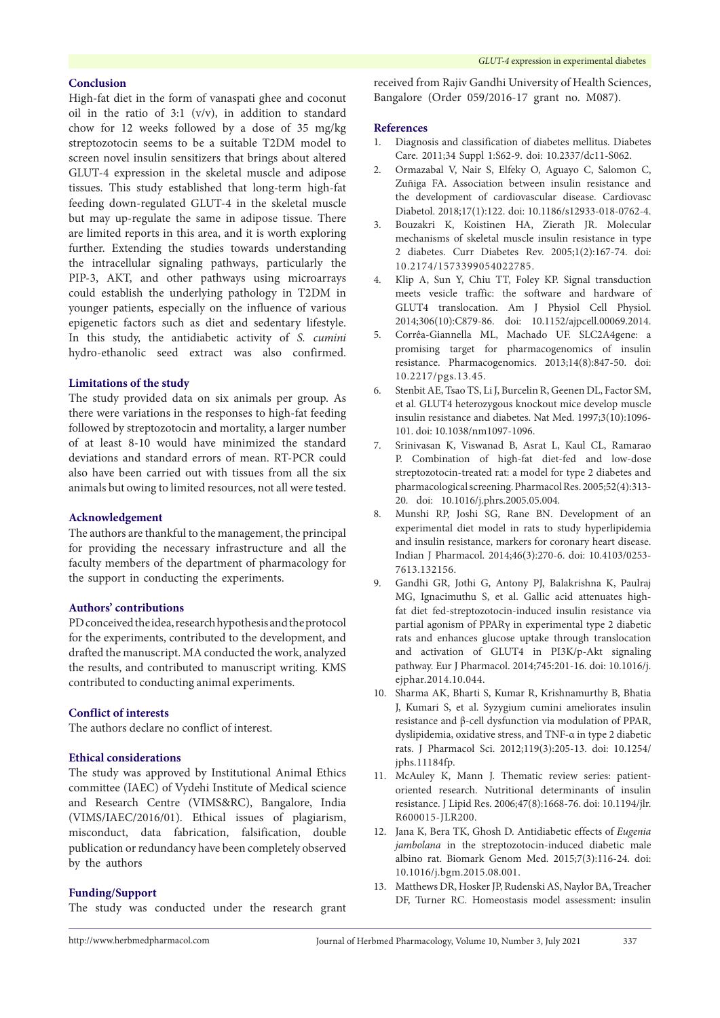### **Conclusion**

High-fat diet in the form of vanaspati ghee and coconut oil in the ratio of 3:1 (v/v), in addition to standard chow for 12 weeks followed by a dose of 35 mg/kg streptozotocin seems to be a suitable T2DM model to screen novel insulin sensitizers that brings about altered GLUT-4 expression in the skeletal muscle and adipose tissues. This study established that long-term high-fat feeding down-regulated GLUT-4 in the skeletal muscle but may up-regulate the same in adipose tissue. There are limited reports in this area, and it is worth exploring further. Extending the studies towards understanding the intracellular signaling pathways, particularly the PIP-3, AKT, and other pathways using microarrays could establish the underlying pathology in T2DM in younger patients, especially on the influence of various epigenetic factors such as diet and sedentary lifestyle. In this study, the antidiabetic activity of *S. cumini* hydro-ethanolic seed extract was also confirmed.

### **Limitations of the study**

The study provided data on six animals per group. As there were variations in the responses to high-fat feeding followed by streptozotocin and mortality, a larger number of at least 8-10 would have minimized the standard deviations and standard errors of mean. RT-PCR could also have been carried out with tissues from all the six animals but owing to limited resources, not all were tested.

#### **Acknowledgement**

The authors are thankful to the management, the principal for providing the necessary infrastructure and all the faculty members of the department of pharmacology for the support in conducting the experiments.

#### **Authors' contributions**

PD conceived the idea, research hypothesis and the protocol for the experiments, contributed to the development, and drafted the manuscript. MA conducted the work, analyzed the results, and contributed to manuscript writing. KMS contributed to conducting animal experiments.

### **Conflict of interests**

The authors declare no conflict of interest.

### **Ethical considerations**

The study was approved by Institutional Animal Ethics committee (IAEC) of Vydehi Institute of Medical science and Research Centre (VIMS&RC), Bangalore, India (VIMS/IAEC/2016/01). Ethical issues of plagiarism, misconduct, data fabrication, falsification, double publication or redundancy have been completely observed by the authors

### **Funding/Support**

The study was conducted under the research grant

received from Rajiv Gandhi University of Health Sciences, Bangalore (Order 059/2016-17 grant no. M087).

#### **References**

- 1. Diagnosis and classification of diabetes mellitus. Diabetes Care. 2011;34 Suppl 1:S62-9. doi: 10.2337/dc11-S062.
- 2. Ormazabal V, Nair S, Elfeky O, Aguayo C, Salomon C, Zuñiga FA. Association between insulin resistance and the development of cardiovascular disease. Cardiovasc Diabetol. 2018;17(1):122. doi: 10.1186/s12933-018-0762-4.
- 3. Bouzakri K, Koistinen HA, Zierath JR. Molecular mechanisms of skeletal muscle insulin resistance in type 2 diabetes. Curr Diabetes Rev. 2005;1(2):167-74. doi: 10.2174/1573399054022785.
- 4. Klip A, Sun Y, Chiu TT, Foley KP. Signal transduction meets vesicle traffic: the software and hardware of GLUT4 translocation. Am J Physiol Cell Physiol. 2014;306(10):C879-86. doi: 10.1152/ajpcell.00069.2014.
- 5. Corrêa-Giannella ML, Machado UF. SLC2A4gene: a promising target for pharmacogenomics of insulin resistance. Pharmacogenomics. 2013;14(8):847-50. doi: 10.2217/pgs.13.45.
- 6. Stenbit AE, Tsao TS, Li J, Burcelin R, Geenen DL, Factor SM, et al. GLUT4 heterozygous knockout mice develop muscle insulin resistance and diabetes. Nat Med. 1997;3(10):1096- 101. doi: 10.1038/nm1097-1096.
- 7. Srinivasan K, Viswanad B, Asrat L, Kaul CL, Ramarao P. Combination of high-fat diet-fed and low-dose streptozotocin-treated rat: a model for type 2 diabetes and pharmacological screening. Pharmacol Res. 2005;52(4):313- 20. doi: 10.1016/j.phrs.2005.05.004.
- 8. Munshi RP, Joshi SG, Rane BN. Development of an experimental diet model in rats to study hyperlipidemia and insulin resistance, markers for coronary heart disease. Indian J Pharmacol. 2014;46(3):270-6. doi: 10.4103/0253- 7613.132156.
- 9. Gandhi GR, Jothi G, Antony PJ, Balakrishna K, Paulraj MG, Ignacimuthu S, et al. Gallic acid attenuates highfat diet fed-streptozotocin-induced insulin resistance via partial agonism of PPARγ in experimental type 2 diabetic rats and enhances glucose uptake through translocation and activation of GLUT4 in PI3K/p-Akt signaling pathway. Eur J Pharmacol. 2014;745:201-16. doi: 10.1016/j. ejphar.2014.10.044.
- 10. Sharma AK, Bharti S, Kumar R, Krishnamurthy B, Bhatia J, Kumari S, et al. Syzygium cumini ameliorates insulin resistance and β-cell dysfunction via modulation of PPAR, dyslipidemia, oxidative stress, and TNF-α in type 2 diabetic rats. J Pharmacol Sci. 2012;119(3):205-13. doi: 10.1254/ jphs.11184fp.
- 11. McAuley K, Mann J. Thematic review series: patientoriented research. Nutritional determinants of insulin resistance. J Lipid Res. 2006;47(8):1668-76. doi: 10.1194/jlr. R600015-JLR200.
- 12. Jana K, Bera TK, Ghosh D. Antidiabetic effects of *Eugenia jambolana* in the streptozotocin-induced diabetic male albino rat. Biomark Genom Med. 2015;7(3):116-24. doi: 10.1016/j.bgm.2015.08.001.
- 13. Matthews DR, Hosker JP, Rudenski AS, Naylor BA, Treacher DF, Turner RC. Homeostasis model assessment: insulin